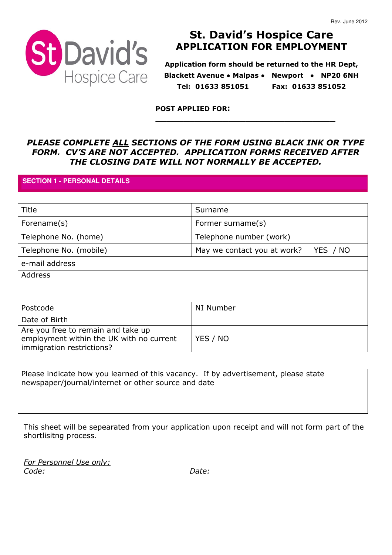

# St. David's Hospice Care APPLICATION FOR EMPLOYMENT

Application form should be returned to the HR Dept, Blackett Avenue • Malpas • Newport • NP20 6NH Tel: 01633 851051 Fax: 01633 851052

\_\_\_\_\_\_\_\_\_\_\_\_\_\_\_\_\_\_\_\_\_\_\_\_\_\_\_\_\_\_\_\_

POST APPLIED FOR:

## PLEASE COMPLETE ALL SECTIONS OF THE FORM USING BLACK INK OR TYPE FORM. CV'S ARE NOT ACCEPTED. APPLICATION FORMS RECEIVED AFTER THE CLOSING DATE WILL NOT NORMALLY BE ACCEPTED.

## **SECTION 1 - PERSONAL DETAILS**

| Title                                                                                                       | Surname                                 |
|-------------------------------------------------------------------------------------------------------------|-----------------------------------------|
| Forename(s)                                                                                                 | Former surname(s)                       |
| Telephone No. (home)                                                                                        | Telephone number (work)                 |
| Telephone No. (mobile)                                                                                      | May we contact you at work?<br>YES / NO |
| e-mail address                                                                                              |                                         |
| <b>Address</b>                                                                                              |                                         |
|                                                                                                             |                                         |
| Postcode                                                                                                    | NI Number                               |
| Date of Birth                                                                                               |                                         |
| Are you free to remain and take up<br>employment within the UK with no current<br>immigration restrictions? | YES / NO                                |

Please indicate how you learned of this vacancy. If by advertisement, please state newspaper/journal/internet or other source and date

This sheet will be sepearated from your application upon receipt and will not form part of the shortlisitng process.

For Personnel Use only: Code: Date: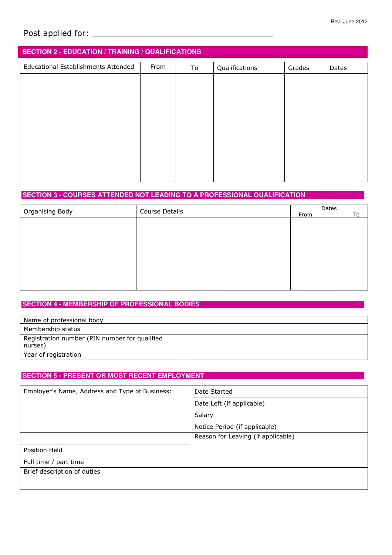# Post applied for: \_\_\_\_\_\_\_\_\_\_\_\_\_\_\_\_\_\_\_\_\_\_\_\_\_\_\_\_\_\_\_\_\_\_\_\_

# **SECTION 2 - EDUCATION / TRAINING / QUALIFICATIONS**

| Educational Establishments Attended | From | To | Qualifications | Grades | Dates |
|-------------------------------------|------|----|----------------|--------|-------|
|                                     |      |    |                |        |       |
|                                     |      |    |                |        |       |
|                                     |      |    |                |        |       |
|                                     |      |    |                |        |       |
|                                     |      |    |                |        |       |
|                                     |      |    |                |        |       |
|                                     |      |    |                |        |       |
|                                     |      |    |                |        |       |
|                                     |      |    |                |        |       |

## **SECTION 3 - COURSES ATTENDED NOT LEADING TO A PROFESSIONAL QUALIFICATION**

|                 | Course Details |      | Dates |  |  |
|-----------------|----------------|------|-------|--|--|
| Organising Body |                | From | To    |  |  |
|                 |                |      |       |  |  |
|                 |                |      |       |  |  |
|                 |                |      |       |  |  |
|                 |                |      |       |  |  |
|                 |                |      |       |  |  |
|                 |                |      |       |  |  |
|                 |                |      |       |  |  |
|                 |                |      |       |  |  |
|                 |                |      |       |  |  |
|                 |                |      |       |  |  |
|                 |                |      |       |  |  |

## **SECTION 4 - MEMBERSHIP OF PROFESSIONAL BODIES**

| Name of professional body                                |  |
|----------------------------------------------------------|--|
| Membership status                                        |  |
| Registration number (PIN number for qualified<br>nurses) |  |
| Year of registration                                     |  |

## **SECTION 5 - PRESENT OR MOST RECENT EMPLOYMENT**

| Employer's Name, Address and Type of Business: | Date Started                       |  |
|------------------------------------------------|------------------------------------|--|
|                                                | Date Left (if applicable)          |  |
|                                                | Salary                             |  |
|                                                | Notice Period (if applicable)      |  |
|                                                | Reason for Leaving (if applicable) |  |
| Position Held                                  |                                    |  |
| Full time / part time                          |                                    |  |
| Brief description of duties                    |                                    |  |
|                                                |                                    |  |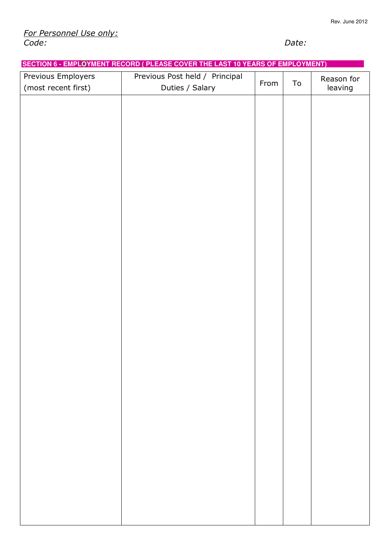## **SECTION 6 - EMPLOYMENT RECORD ( PLEASE COVER THE LAST 10 YEARS OF EMPLOYMENT)**

| Previous Employers  | Previous Post held / Principal | From | To | Reason for |
|---------------------|--------------------------------|------|----|------------|
| (most recent first) | Duties / Salary                |      |    | leaving    |
|                     |                                |      |    |            |
|                     |                                |      |    |            |
|                     |                                |      |    |            |
|                     |                                |      |    |            |
|                     |                                |      |    |            |
|                     |                                |      |    |            |
|                     |                                |      |    |            |
|                     |                                |      |    |            |
|                     |                                |      |    |            |
|                     |                                |      |    |            |
|                     |                                |      |    |            |
|                     |                                |      |    |            |
|                     |                                |      |    |            |
|                     |                                |      |    |            |
|                     |                                |      |    |            |
|                     |                                |      |    |            |
|                     |                                |      |    |            |
|                     |                                |      |    |            |
|                     |                                |      |    |            |
|                     |                                |      |    |            |
|                     |                                |      |    |            |
|                     |                                |      |    |            |
|                     |                                |      |    |            |
|                     |                                |      |    |            |
|                     |                                |      |    |            |
|                     |                                |      |    |            |
|                     |                                |      |    |            |
|                     |                                |      |    |            |
|                     |                                |      |    |            |
|                     |                                |      |    |            |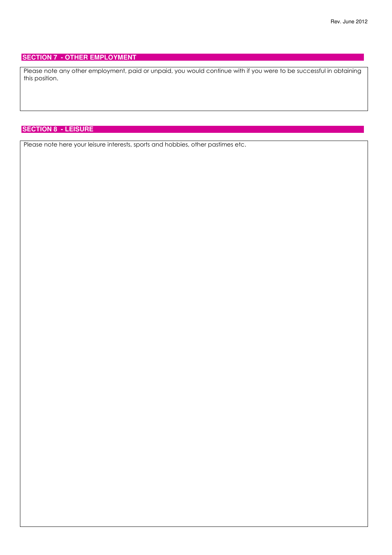### **SECTION 7 - OTHER EMPLOYMENT**

Please note any other employment, paid or unpaid, you would continue with if you were to be successful in obtaining this position.

## **SECTION 8 - LEISURE**

Please note here your leisure interests, sports and hobbies, other pastimes etc.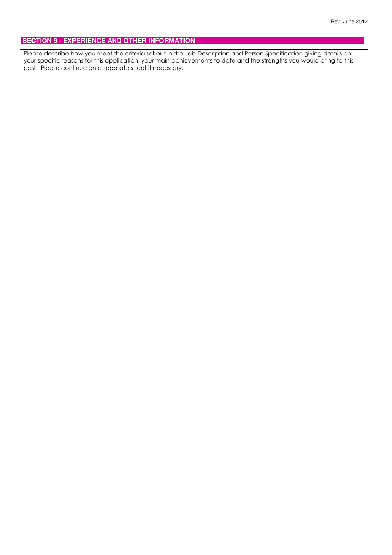## **SECTION 9 - EXPERIENCE AND OTHER INFORMATION**

Please describe how you meet the criteria set out in the Job Description and Person Specification giving details on your specific reasons for this application, your main achievements to date and the strengths you would bring to this post. Please continue on a separate sheet if necessary.